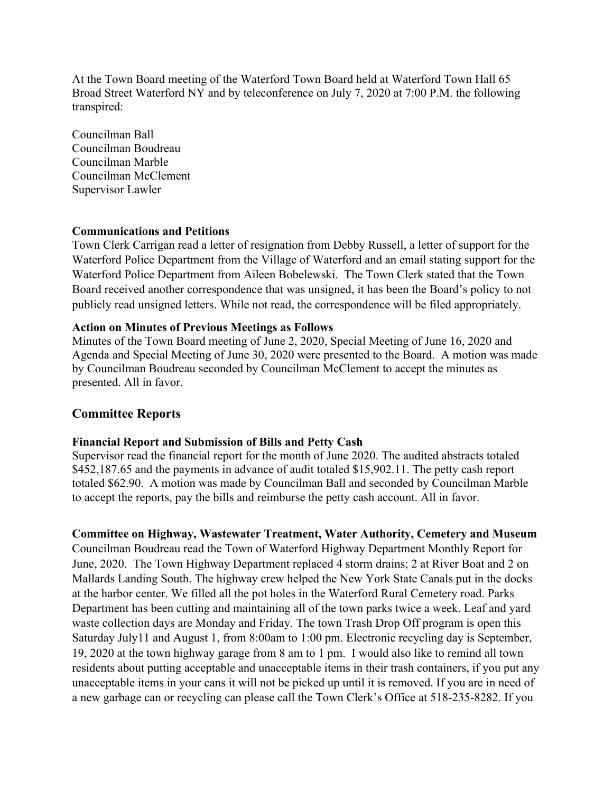At the Town Board meeting of the Waterford Town Board held at Waterford Town Hall 65 Broad Street Waterford NY and by teleconference on July 7, 2020 at 7:00 P.M. the following transpired:

Councilman Ball Councilman Boudreau Councilman Marble Councilman McClement Supervisor Lawler

#### **Communications and Petitions**

Town Clerk Carrigan read a letter of resignation from Debby Russell, a letter of support for the Waterford Police Department from the Village of Waterford and an email stating support for the Waterford Police Department from Aileen Bobelewski. The Town Clerk stated that the Town Board received another correspondence that was unsigned, it has been the Board's policy to not publicly read unsigned letters. While not read, the correspondence will be filed appropriately.

#### **Action on Minutes of Previous Meetings as Follows**

Minutes of the Town Board meeting of June 2, 2020, Special Meeting of June 16, 2020 and Agenda and Special Meeting of June 30, 2020 were presented to the Board. A motion was made by Councilman Boudreau seconded by Councilman McClement to accept the minutes as presented. All in favor.

## **Committee Reports**

#### **Financial Report and Submission of Bills and Petty Cash**

Supervisor read the financial report for the month of June 2020. The audited abstracts totaled \$452,187.65 and the payments in advance of audit totaled \$15,902.11. The petty cash report totaled \$62.90. A motion was made by Councilman Ball and seconded by Councilman Marble to accept the reports, pay the bills and reimburse the petty cash account. All in favor.

#### **Committee on Highway, Wastewater Treatment, Water Authority, Cemetery and Museum**

Councilman Boudreau read the Town of Waterford Highway Department Monthly Report for June, 2020. The Town Highway Department replaced 4 storm drains; 2 at River Boat and 2 on Mallards Landing South. The highway crew helped the New York State Canals put in the docks at the harbor center. We filled all the pot holes in the Waterford Rural Cemetery road. Parks Department has been cutting and maintaining all of the town parks twice a week. Leaf and yard waste collection days are Monday and Friday. The town Trash Drop Off program is open this Saturday July11 and August 1, from 8:00am to 1:00 pm. Electronic recycling day is September, 19, 2020 at the town highway garage from 8 am to 1 pm. I would also like to remind all town residents about putting acceptable and unacceptable items in their trash containers, if you put any unacceptable items in your cans it will not be picked up until it is removed. If you are in need of a new garbage can or recycling can please call the Town Clerk's Office at 518-235-8282. If you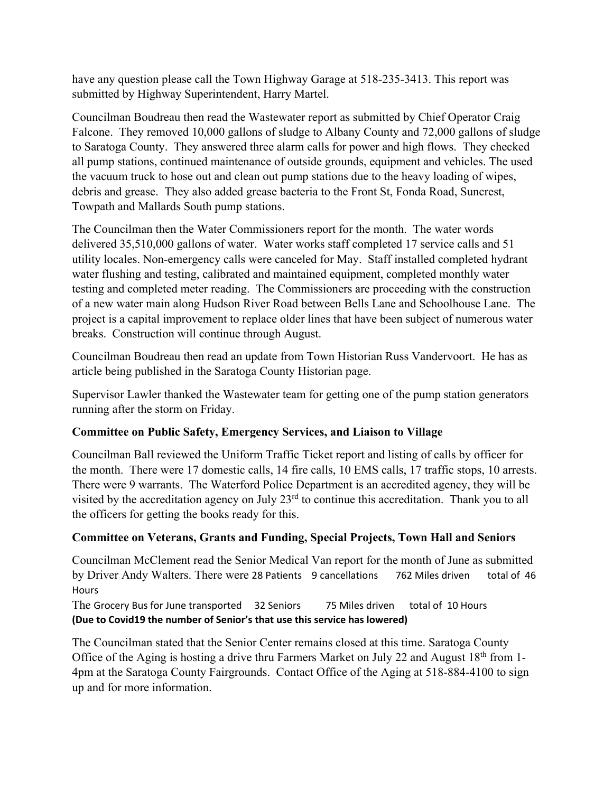have any question please call the Town Highway Garage at 518-235-3413. This report was submitted by Highway Superintendent, Harry Martel.

Councilman Boudreau then read the Wastewater report as submitted by Chief Operator Craig Falcone. They removed 10,000 gallons of sludge to Albany County and 72,000 gallons of sludge to Saratoga County. They answered three alarm calls for power and high flows. They checked all pump stations, continued maintenance of outside grounds, equipment and vehicles. The used the vacuum truck to hose out and clean out pump stations due to the heavy loading of wipes, debris and grease. They also added grease bacteria to the Front St, Fonda Road, Suncrest, Towpath and Mallards South pump stations.

The Councilman then the Water Commissioners report for the month. The water words delivered 35,510,000 gallons of water. Water works staff completed 17 service calls and 51 utility locales. Non-emergency calls were canceled for May. Staff installed completed hydrant water flushing and testing, calibrated and maintained equipment, completed monthly water testing and completed meter reading. The Commissioners are proceeding with the construction of a new water main along Hudson River Road between Bells Lane and Schoolhouse Lane. The project is a capital improvement to replace older lines that have been subject of numerous water breaks. Construction will continue through August.

Councilman Boudreau then read an update from Town Historian Russ Vandervoort. He has as article being published in the Saratoga County Historian page.

Supervisor Lawler thanked the Wastewater team for getting one of the pump station generators running after the storm on Friday.

# **Committee on Public Safety, Emergency Services, and Liaison to Village**

Councilman Ball reviewed the Uniform Traffic Ticket report and listing of calls by officer for the month. There were 17 domestic calls, 14 fire calls, 10 EMS calls, 17 traffic stops, 10 arrests. There were 9 warrants. The Waterford Police Department is an accredited agency, they will be visited by the accreditation agency on July 23rd to continue this accreditation. Thank you to all the officers for getting the books ready for this.

## **Committee on Veterans, Grants and Funding, Special Projects, Town Hall and Seniors**

Councilman McClement read the Senior Medical Van report for the month of June as submitted by Driver Andy Walters. There were 28 Patients 9 cancellations 762 Miles driven total of 46 Hours

The Grocery Bus for June transported 32 Seniors 75 Miles driven total of 10 Hours (Due to Covid19 the number of Senior's that use this service has lowered)

The Councilman stated that the Senior Center remains closed at this time. Saratoga County Office of the Aging is hosting a drive thru Farmers Market on July 22 and August  $18<sup>th</sup>$  from 1-4pm at the Saratoga County Fairgrounds. Contact Office of the Aging at 518-884-4100 to sign up and for more information.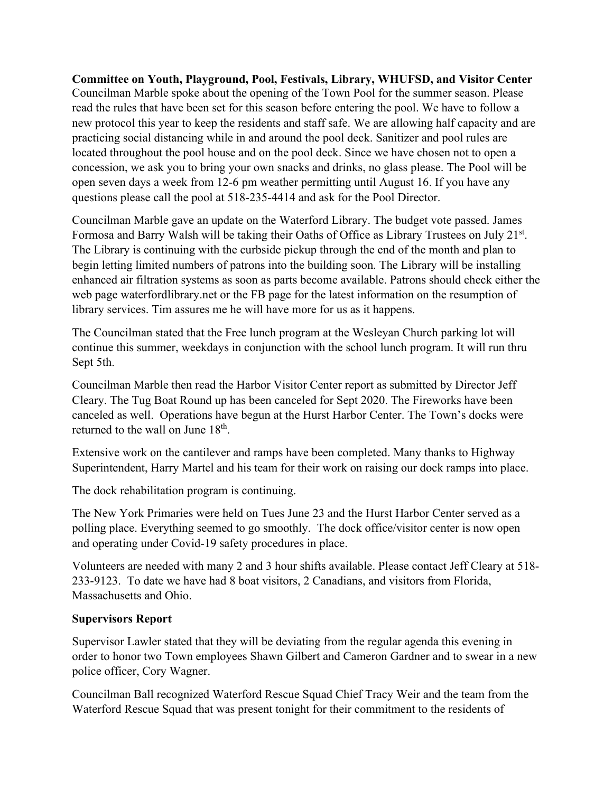**Committee on Youth, Playground, Pool, Festivals, Library, WHUFSD, and Visitor Center**  Councilman Marble spoke about the opening of the Town Pool for the summer season. Please read the rules that have been set for this season before entering the pool. We have to follow a new protocol this year to keep the residents and staff safe. We are allowing half capacity and are practicing social distancing while in and around the pool deck. Sanitizer and pool rules are located throughout the pool house and on the pool deck. Since we have chosen not to open a concession, we ask you to bring your own snacks and drinks, no glass please. The Pool will be open seven days a week from 12-6 pm weather permitting until August 16. If you have any questions please call the pool at 518-235-4414 and ask for the Pool Director.

Councilman Marble gave an update on the Waterford Library. The budget vote passed. James Formosa and Barry Walsh will be taking their Oaths of Office as Library Trustees on July 21st. The Library is continuing with the curbside pickup through the end of the month and plan to begin letting limited numbers of patrons into the building soon. The Library will be installing enhanced air filtration systems as soon as parts become available. Patrons should check either the web page waterfordlibrary.net or the FB page for the latest information on the resumption of library services. Tim assures me he will have more for us as it happens.

The Councilman stated that the Free lunch program at the Wesleyan Church parking lot will continue this summer, weekdays in conjunction with the school lunch program. It will run thru Sept 5th.

Councilman Marble then read the Harbor Visitor Center report as submitted by Director Jeff Cleary. The Tug Boat Round up has been canceled for Sept 2020. The Fireworks have been canceled as well. Operations have begun at the Hurst Harbor Center. The Town's docks were returned to the wall on June  $18<sup>th</sup>$ .

Extensive work on the cantilever and ramps have been completed. Many thanks to Highway Superintendent, Harry Martel and his team for their work on raising our dock ramps into place.

The dock rehabilitation program is continuing.

The New York Primaries were held on Tues June 23 and the Hurst Harbor Center served as a polling place. Everything seemed to go smoothly. The dock office/visitor center is now open and operating under Covid-19 safety procedures in place.

Volunteers are needed with many 2 and 3 hour shifts available. Please contact Jeff Cleary at 518- 233-9123. To date we have had 8 boat visitors, 2 Canadians, and visitors from Florida, Massachusetts and Ohio.

#### **Supervisors Report**

Supervisor Lawler stated that they will be deviating from the regular agenda this evening in order to honor two Town employees Shawn Gilbert and Cameron Gardner and to swear in a new police officer, Cory Wagner.

Councilman Ball recognized Waterford Rescue Squad Chief Tracy Weir and the team from the Waterford Rescue Squad that was present tonight for their commitment to the residents of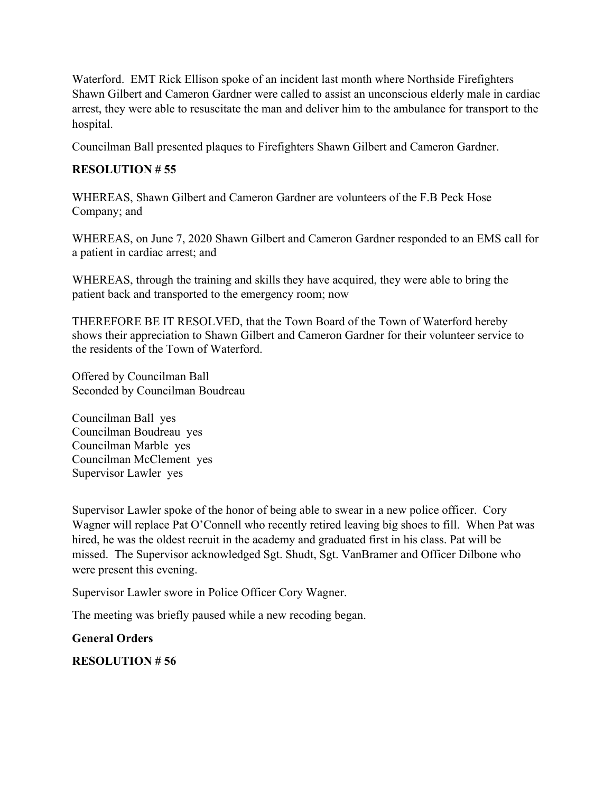Waterford. EMT Rick Ellison spoke of an incident last month where Northside Firefighters Shawn Gilbert and Cameron Gardner were called to assist an unconscious elderly male in cardiac arrest, they were able to resuscitate the man and deliver him to the ambulance for transport to the hospital.

Councilman Ball presented plaques to Firefighters Shawn Gilbert and Cameron Gardner.

## **RESOLUTION # 55**

WHEREAS, Shawn Gilbert and Cameron Gardner are volunteers of the F.B Peck Hose Company; and

WHEREAS, on June 7, 2020 Shawn Gilbert and Cameron Gardner responded to an EMS call for a patient in cardiac arrest; and

WHEREAS, through the training and skills they have acquired, they were able to bring the patient back and transported to the emergency room; now

THEREFORE BE IT RESOLVED, that the Town Board of the Town of Waterford hereby shows their appreciation to Shawn Gilbert and Cameron Gardner for their volunteer service to the residents of the Town of Waterford.

Offered by Councilman Ball Seconded by Councilman Boudreau

Councilman Ball yes Councilman Boudreau yes Councilman Marble yes Councilman McClement yes Supervisor Lawler yes

Supervisor Lawler spoke of the honor of being able to swear in a new police officer. Cory Wagner will replace Pat O'Connell who recently retired leaving big shoes to fill. When Pat was hired, he was the oldest recruit in the academy and graduated first in his class. Pat will be missed. The Supervisor acknowledged Sgt. Shudt, Sgt. VanBramer and Officer Dilbone who were present this evening.

Supervisor Lawler swore in Police Officer Cory Wagner.

The meeting was briefly paused while a new recoding began.

## **General Orders**

## **RESOLUTION # 56**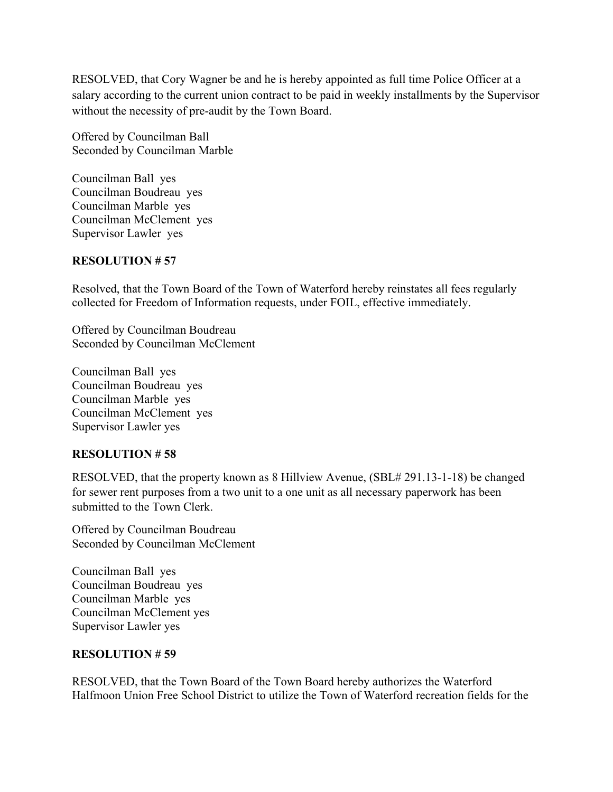RESOLVED, that Cory Wagner be and he is hereby appointed as full time Police Officer at a salary according to the current union contract to be paid in weekly installments by the Supervisor without the necessity of pre-audit by the Town Board.

Offered by Councilman Ball Seconded by Councilman Marble

Councilman Ball yes Councilman Boudreau yes Councilman Marble yes Councilman McClement yes Supervisor Lawler yes

#### **RESOLUTION # 57**

Resolved, that the Town Board of the Town of Waterford hereby reinstates all fees regularly collected for Freedom of Information requests, under FOIL, effective immediately.

Offered by Councilman Boudreau Seconded by Councilman McClement

Councilman Ball yes Councilman Boudreau yes Councilman Marble yes Councilman McClement yes Supervisor Lawler yes

## **RESOLUTION # 58**

RESOLVED, that the property known as 8 Hillview Avenue, (SBL# 291.13-1-18) be changed for sewer rent purposes from a two unit to a one unit as all necessary paperwork has been submitted to the Town Clerk.

Offered by Councilman Boudreau Seconded by Councilman McClement

Councilman Ball yes Councilman Boudreau yes Councilman Marble yes Councilman McClement yes Supervisor Lawler yes

#### **RESOLUTION # 59**

RESOLVED, that the Town Board of the Town Board hereby authorizes the Waterford Halfmoon Union Free School District to utilize the Town of Waterford recreation fields for the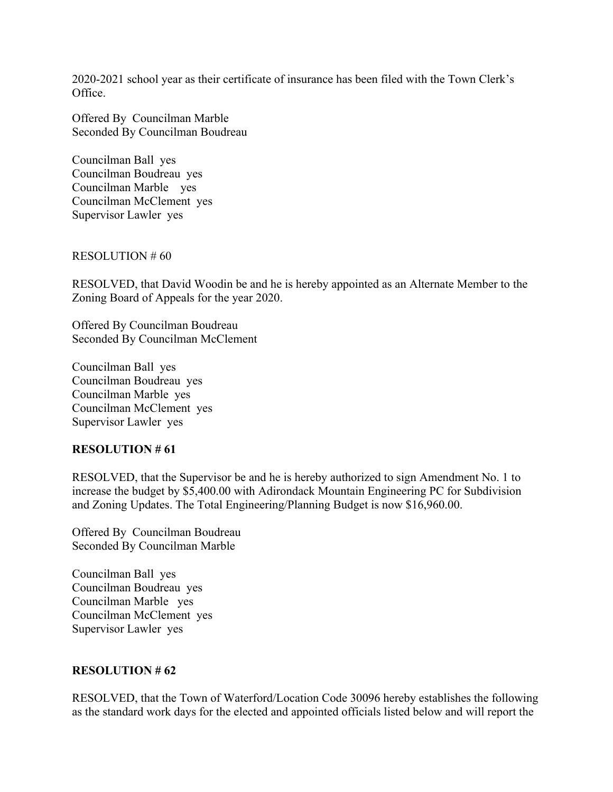2020-2021 school year as their certificate of insurance has been filed with the Town Clerk's Office.

Offered By Councilman Marble Seconded By Councilman Boudreau

Councilman Ball yes Councilman Boudreau yes Councilman Marble yes Councilman McClement yes Supervisor Lawler yes

RESOLUTION # 60

RESOLVED, that David Woodin be and he is hereby appointed as an Alternate Member to the Zoning Board of Appeals for the year 2020.

Offered By Councilman Boudreau Seconded By Councilman McClement

Councilman Ball yes Councilman Boudreau yes Councilman Marble yes Councilman McClement yes Supervisor Lawler yes

#### **RESOLUTION # 61**

RESOLVED, that the Supervisor be and he is hereby authorized to sign Amendment No. 1 to increase the budget by \$5,400.00 with Adirondack Mountain Engineering PC for Subdivision and Zoning Updates. The Total Engineering/Planning Budget is now \$16,960.00.

Offered By Councilman Boudreau Seconded By Councilman Marble

Councilman Ball yes Councilman Boudreau yes Councilman Marble yes Councilman McClement yes Supervisor Lawler yes

#### **RESOLUTION # 62**

RESOLVED, that the Town of Waterford/Location Code 30096 hereby establishes the following as the standard work days for the elected and appointed officials listed below and will report the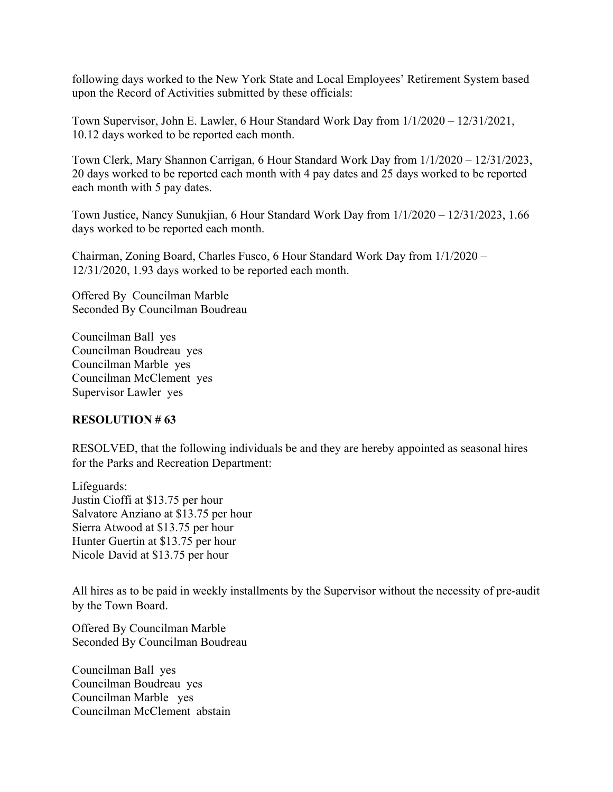following days worked to the New York State and Local Employees' Retirement System based upon the Record of Activities submitted by these officials:

Town Supervisor, John E. Lawler, 6 Hour Standard Work Day from 1/1/2020 – 12/31/2021, 10.12 days worked to be reported each month.

Town Clerk, Mary Shannon Carrigan, 6 Hour Standard Work Day from 1/1/2020 – 12/31/2023, 20 days worked to be reported each month with 4 pay dates and 25 days worked to be reported each month with 5 pay dates.

Town Justice, Nancy Sunukjian, 6 Hour Standard Work Day from 1/1/2020 – 12/31/2023, 1.66 days worked to be reported each month.

Chairman, Zoning Board, Charles Fusco, 6 Hour Standard Work Day from 1/1/2020 – 12/31/2020, 1.93 days worked to be reported each month.

Offered By Councilman Marble Seconded By Councilman Boudreau

Councilman Ball yes Councilman Boudreau yes Councilman Marble yes Councilman McClement yes Supervisor Lawler yes

## **RESOLUTION # 63**

RESOLVED, that the following individuals be and they are hereby appointed as seasonal hires for the Parks and Recreation Department:

Lifeguards: Justin Cioffi at \$13.75 per hour Salvatore Anziano at \$13.75 per hour Sierra Atwood at \$13.75 per hour Hunter Guertin at \$13.75 per hour Nicole David at \$13.75 per hour

All hires as to be paid in weekly installments by the Supervisor without the necessity of pre-audit by the Town Board.

Offered By Councilman Marble Seconded By Councilman Boudreau

Councilman Ball yes Councilman Boudreau yes Councilman Marble yes Councilman McClement abstain